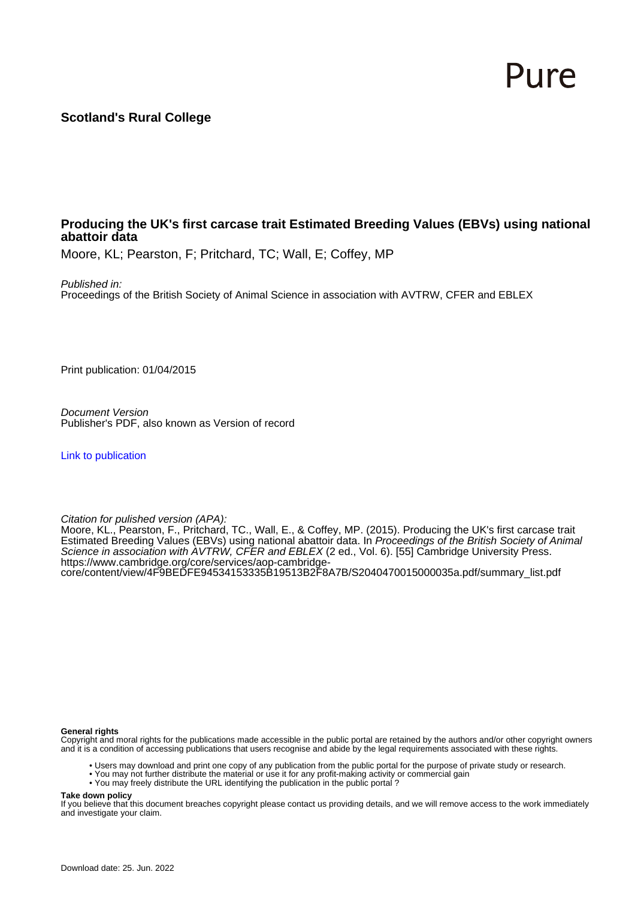# Pure

## **Scotland's Rural College**

## **Producing the UK's first carcase trait Estimated Breeding Values (EBVs) using national abattoir data**

Moore, KL; Pearston, F; Pritchard, TC; Wall, E; Coffey, MP

Published in:

Proceedings of the British Society of Animal Science in association with AVTRW, CFER and EBLEX

Print publication: 01/04/2015

Document Version Publisher's PDF, also known as Version of record

[Link to publication](https://pure.sruc.ac.uk/en/publications/fbbdd0b7-5869-493f-92fb-1ad52828c674)

Citation for pulished version (APA):

Moore, KL., Pearston, F., Pritchard, TC., Wall, E., & Coffey, MP. (2015). Producing the UK's first carcase trait Estimated Breeding Values (EBVs) using national abattoir data. In Proceedings of the British Society of Animal Science in association with AVTRW, CFER and EBLEX (2 ed., Vol. 6). [55] Cambridge University Press. [https://www.cambridge.org/core/services/aop-cambridge-](https://www.cambridge.org/core/services/aop-cambridge-core/content/view/4F9BEDFE94534153335B19513B2F8A7B/S2040470015000035a.pdf/summary_list.pdf)

[core/content/view/4F9BEDFE94534153335B19513B2F8A7B/S2040470015000035a.pdf/summary\\_list.pdf](https://www.cambridge.org/core/services/aop-cambridge-core/content/view/4F9BEDFE94534153335B19513B2F8A7B/S2040470015000035a.pdf/summary_list.pdf)

#### **General rights**

Copyright and moral rights for the publications made accessible in the public portal are retained by the authors and/or other copyright owners and it is a condition of accessing publications that users recognise and abide by the legal requirements associated with these rights.

- Users may download and print one copy of any publication from the public portal for the purpose of private study or research.
- You may not further distribute the material or use it for any profit-making activity or commercial gain
- You may freely distribute the URL identifying the publication in the public portal ?

#### **Take down policy**

If you believe that this document breaches copyright please contact us providing details, and we will remove access to the work immediately and investigate your claim.